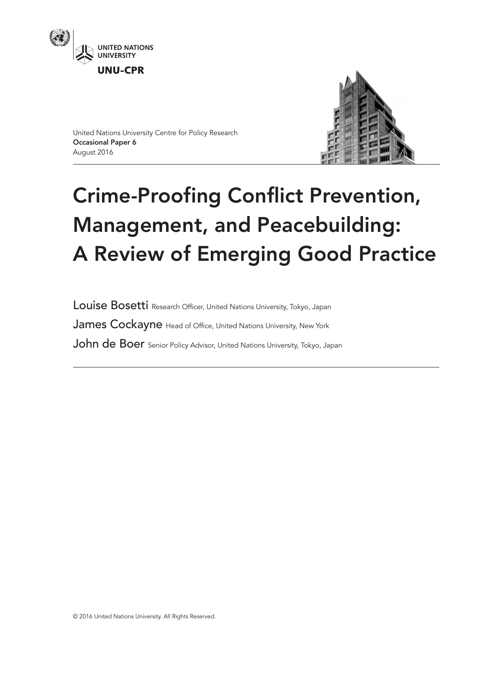



United Nations University Centre for Policy Research Occasional Paper 6 August 2016

# Crime-Proofing Conflict Prevention, Management, and Peacebuilding: A Review of Emerging Good Practice

Louise Bosetti Research Officer, United Nations University, Tokyo, Japan James Cockayne Head of Office, United Nations University, New York John de Boer Senior Policy Advisor, United Nations University, Tokyo, Japan

© 2016 United Nations University. All Rights Reserved.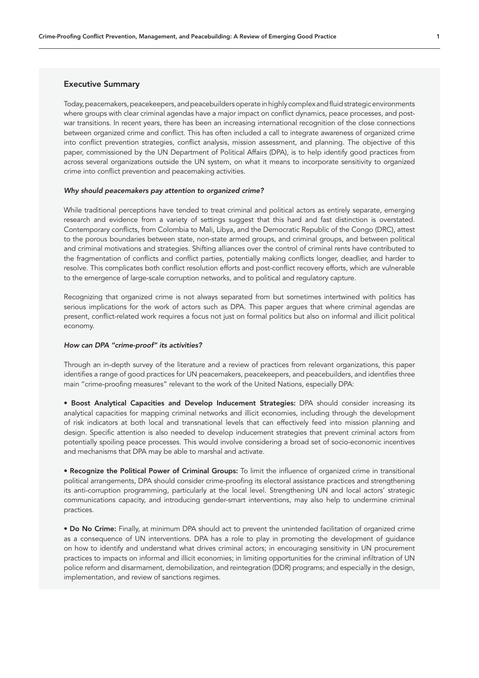# Executive Summary

Today, peacemakers, peacekeepers, and peacebuilders operate in highly complex and fluid strategic environments where groups with clear criminal agendas have a major impact on conflict dynamics, peace processes, and postwar transitions. In recent years, there has been an increasing international recognition of the close connections between organized crime and conflict. This has often included a call to integrate awareness of organized crime into conflict prevention strategies, conflict analysis, mission assessment, and planning. The objective of this paper, commissioned by the UN Department of Political Affairs (DPA), is to help identify good practices from across several organizations outside the UN system, on what it means to incorporate sensitivity to organized crime into conflict prevention and peacemaking activities.

#### *Why should peacemakers pay attention to organized crime?*

While traditional perceptions have tended to treat criminal and political actors as entirely separate, emerging research and evidence from a variety of settings suggest that this hard and fast distinction is overstated. Contemporary conflicts, from Colombia to Mali, Libya, and the Democratic Republic of the Congo (DRC), attest to the porous boundaries between state, non-state armed groups, and criminal groups, and between political and criminal motivations and strategies. Shifting alliances over the control of criminal rents have contributed to the fragmentation of conflicts and conflict parties, potentially making conflicts longer, deadlier, and harder to resolve. This complicates both conflict resolution efforts and post-conflict recovery efforts, which are vulnerable to the emergence of large-scale corruption networks, and to political and regulatory capture.

Recognizing that organized crime is not always separated from but sometimes intertwined with politics has serious implications for the work of actors such as DPA. This paper argues that where criminal agendas are present, conflict-related work requires a focus not just on formal politics but also on informal and illicit political economy.

#### *How can DPA "crime-proof" its activities?*

Through an in-depth survey of the literature and a review of practices from relevant organizations, this paper identifies a range of good practices for UN peacemakers, peacekeepers, and peacebuilders, and identifies three main "crime-proofing measures" relevant to the work of the United Nations, especially DPA:

• Boost Analytical Capacities and Develop Inducement Strategies: DPA should consider increasing its analytical capacities for mapping criminal networks and illicit economies, including through the development of risk indicators at both local and transnational levels that can effectively feed into mission planning and design. Specific attention is also needed to develop inducement strategies that prevent criminal actors from potentially spoiling peace processes. This would involve considering a broad set of socio-economic incentives and mechanisms that DPA may be able to marshal and activate.

• Recognize the Political Power of Criminal Groups: To limit the influence of organized crime in transitional political arrangements, DPA should consider crime-proofing its electoral assistance practices and strengthening its anti-corruption programming, particularly at the local level. Strengthening UN and local actors' strategic communications capacity, and introducing gender-smart interventions, may also help to undermine criminal practices.

• Do No Crime: Finally, at minimum DPA should act to prevent the unintended facilitation of organized crime as a consequence of UN interventions. DPA has a role to play in promoting the development of guidance on how to identify and understand what drives criminal actors; in encouraging sensitivity in UN procurement practices to impacts on informal and illicit economies; in limiting opportunities for the criminal infiltration of UN police reform and disarmament, demobilization, and reintegration (DDR) programs; and especially in the design, implementation, and review of sanctions regimes.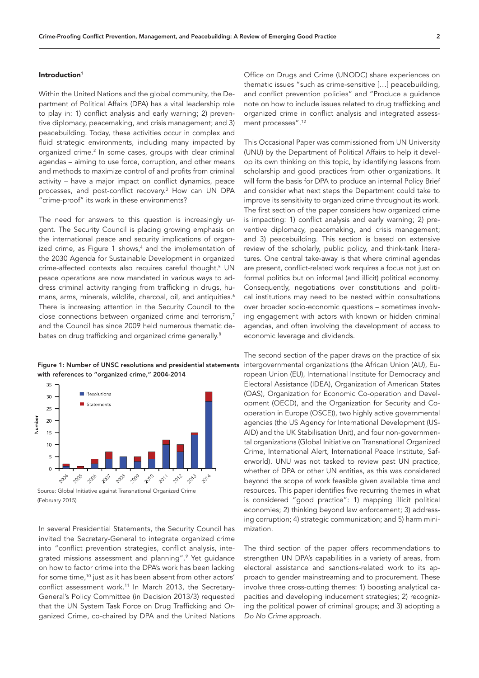## Introduction<sup>1</sup>

Within the United Nations and the global community, the Department of Political Affairs (DPA) has a vital leadership role to play in: 1) conflict analysis and early warning; 2) preventive diplomacy, peacemaking, and crisis management; and 3) peacebuilding. Today, these activities occur in complex and fluid strategic environments, including many impacted by organized crime.<sup>2</sup> In some cases, groups with clear criminal agendas – aiming to use force, corruption, and other means and methods to maximize control of and profits from criminal activity – have a major impact on conflict dynamics, peace processes, and post-conflict recovery.3 How can UN DPA "crime-proof" its work in these environments?

The need for answers to this question is increasingly urgent. The Security Council is placing growing emphasis on the international peace and security implications of organized crime, as Figure 1 shows,<sup>4</sup> and the implementation of the 2030 Agenda for Sustainable Development in organized crime-affected contexts also requires careful thought.<sup>5</sup> UN peace operations are now mandated in various ways to address criminal activity ranging from trafficking in drugs, humans, arms, minerals, wildlife, charcoal, oil, and antiquities.<sup>6</sup> There is increasing attention in the Security Council to the close connections between organized crime and terrorism,7 and the Council has since 2009 held numerous thematic debates on drug trafficking and organized crime generally.<sup>8</sup>

Figure 1: Number of UNSC resolutions and presidential statements with references to "organized crime," 2004-2014



(February 2015)

In several Presidential Statements, the Security Council has invited the Secretary-General to integrate organized crime into "conflict prevention strategies, conflict analysis, integrated missions assessment and planning".9 Yet guidance on how to factor crime into the DPA's work has been lacking for some time,<sup>10</sup> just as it has been absent from other actors' conflict assessment work.11 In March 2013, the Secretary-General's Policy Committee (in Decision 2013/3) requested that the UN System Task Force on Drug Trafficking and Organized Crime, co-chaired by DPA and the United Nations

Office on Drugs and Crime (UNODC) share experiences on thematic issues "such as crime-sensitive […] peacebuilding, and conflict prevention policies" and "Produce a guidance note on how to include issues related to drug trafficking and organized crime in conflict analysis and integrated assessment processes".12

This Occasional Paper was commissioned from UN University (UNU) by the Department of Political Affairs to help it develop its own thinking on this topic, by identifying lessons from scholarship and good practices from other organizations. It will form the basis for DPA to produce an internal Policy Brief and consider what next steps the Department could take to improve its sensitivity to organized crime throughout its work. The first section of the paper considers how organized crime is impacting: 1) conflict analysis and early warning; 2) preventive diplomacy, peacemaking, and crisis management; and 3) peacebuilding. This section is based on extensive review of the scholarly, public policy, and think-tank literatures. One central take-away is that where criminal agendas are present, conflict-related work requires a focus not just on formal politics but on informal (and illicit) political economy. Consequently, negotiations over constitutions and political institutions may need to be nested within consultations over broader socio-economic questions – sometimes involving engagement with actors with known or hidden criminal agendas, and often involving the development of access to economic leverage and dividends.

The second section of the paper draws on the practice of six intergovernmental organizations (the African Union (AU), European Union (EU), International Institute for Democracy and Electoral Assistance (IDEA), Organization of American States (OAS), Organization for Economic Co-operation and Development (OECD), and the Organization for Security and Cooperation in Europe (OSCE)), two highly active governmental agencies (the US Agency for International Development (US-AID) and the UK Stabilisation Unit), and four non-governmental organizations (Global Initiative on Transnational Organized Crime, International Alert, International Peace Institute, Saferworld). UNU was not tasked to review past UN practice, whether of DPA or other UN entities, as this was considered beyond the scope of work feasible given available time and resources. This paper identifies five recurring themes in what is considered "good practice": 1) mapping illicit political economies; 2) thinking beyond law enforcement; 3) addressing corruption; 4) strategic communication; and 5) harm minimization.

The third section of the paper offers recommendations to strengthen UN DPA's capabilities in a variety of areas, from electoral assistance and sanctions-related work to its approach to gender mainstreaming and to procurement. These involve three cross-cutting themes: 1) boosting analytical capacities and developing inducement strategies; 2) recognizing the political power of criminal groups; and 3) adopting a *Do No Crime* approach.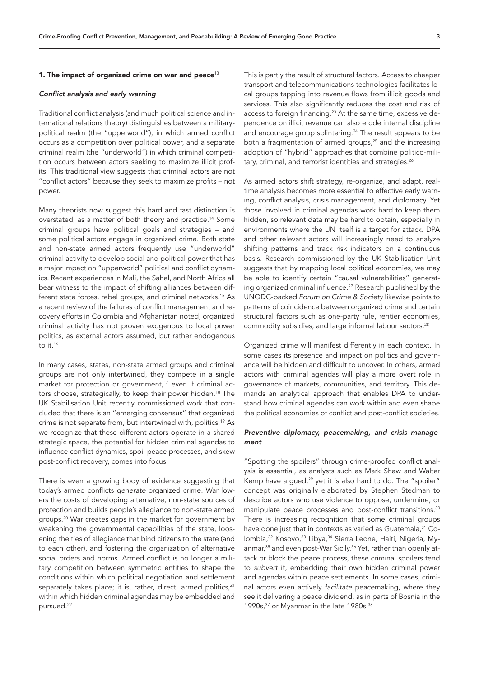# 1. The impact of organized crime on war and peace $13$

## *Conflict analysis and early warning*

Traditional conflict analysis (and much political science and international relations theory) distinguishes between a militarypolitical realm (the "upperworld"), in which armed conflict occurs as a competition over political power, and a separate criminal realm (the "underworld") in which criminal competition occurs between actors seeking to maximize illicit profits. This traditional view suggests that criminal actors are not "conflict actors" because they seek to maximize profits – not power.

Many theorists now suggest this hard and fast distinction is overstated, as a matter of both theory and practice.14 Some criminal groups have political goals and strategies – and some political actors engage in organized crime. Both state and non-state armed actors frequently use "underworld" criminal activity to develop social and political power that has a major impact on "upperworld" political and conflict dynamics. Recent experiences in Mali, the Sahel, and North Africa all bear witness to the impact of shifting alliances between different state forces, rebel groups, and criminal networks.<sup>15</sup> As a recent review of the failures of conflict management and recovery efforts in Colombia and Afghanistan noted, organized criminal activity has not proven exogenous to local power politics, as external actors assumed, but rather endogenous to it.16

In many cases, states, non-state armed groups and criminal groups are not only intertwined, they compete in a single market for protection or government,<sup>17</sup> even if criminal actors choose, strategically, to keep their power hidden.<sup>18</sup> The UK Stabilisation Unit recently commissioned work that concluded that there is an "emerging consensus" that organized crime is not separate from, but intertwined with, politics.19 As we recognize that these different actors operate in a shared strategic space, the potential for hidden criminal agendas to influence conflict dynamics, spoil peace processes, and skew post-conflict recovery, comes into focus.

There is even a growing body of evidence suggesting that today's armed conflicts *generate* organized crime. War lowers the costs of developing alternative, non-state sources of protection and builds people's allegiance to non-state armed groups.20 War creates gaps in the market for government by weakening the governmental capabilities of the state, loosening the ties of allegiance that bind citizens to the state (and to each other), and fostering the organization of alternative social orders and norms. Armed conflict is no longer a military competition between symmetric entities to shape the conditions within which political negotiation and settlement separately takes place; it is, rather, direct, armed politics,<sup>21</sup> within which hidden criminal agendas may be embedded and pursued.22

This is partly the result of structural factors. Access to cheaper transport and telecommunications technologies facilitates local groups tapping into revenue flows from illicit goods and services. This also significantly reduces the cost and risk of access to foreign financing.<sup>23</sup> At the same time, excessive dependence on illicit revenue can also erode internal discipline and encourage group splintering.<sup>24</sup> The result appears to be both a fragmentation of armed groups, $25$  and the increasing adoption of "hybrid" approaches that combine politico-military, criminal, and terrorist identities and strategies.<sup>26</sup>

As armed actors shift strategy, re-organize, and adapt, realtime analysis becomes more essential to effective early warning, conflict analysis, crisis management, and diplomacy. Yet those involved in criminal agendas work hard to keep them hidden, so relevant data may be hard to obtain, especially in environments where the UN itself is a target for attack. DPA and other relevant actors will increasingly need to analyze shifting patterns and track risk indicators on a continuous basis. Research commissioned by the UK Stabilisation Unit suggests that by mapping local political economies, we may be able to identify certain "causal vulnerabilities" generating organized criminal influence.27 Research published by the UNODC-backed *Forum on Crime & Society* likewise points to patterns of coincidence between organized crime and certain structural factors such as one-party rule, rentier economies, commodity subsidies, and large informal labour sectors.28

Organized crime will manifest differently in each context. In some cases its presence and impact on politics and governance will be hidden and difficult to uncover. In others, armed actors with criminal agendas will play a more overt role in governance of markets, communities, and territory. This demands an analytical approach that enables DPA to understand how criminal agendas can work within and even shape the political economies of conflict and post-conflict societies.

# *Preventive diplomacy, peacemaking, and crisis management*

"Spotting the spoilers" through crime-proofed conflict analysis is essential, as analysts such as Mark Shaw and Walter Kemp have arqued;<sup>29</sup> yet it is also hard to do. The "spoiler" concept was originally elaborated by Stephen Stedman to describe actors who use violence to oppose, undermine, or manipulate peace processes and post-conflict transitions.<sup>30</sup> There is increasing recognition that some criminal groups have done just that in contexts as varied as Guatemala,<sup>31</sup> Colombia,<sup>32</sup> Kosovo,<sup>33</sup> Libya,<sup>34</sup> Sierra Leone, Haiti, Nigeria, Myanmar,<sup>35</sup> and even post-War Sicily.<sup>36</sup> Yet, rather than openly attack or block the peace process, these criminal spoilers tend to *subvert* it, embedding their own hidden criminal power and agendas within peace settlements. In some cases, criminal actors even actively *facilitate* peacemaking, where they see it delivering a peace dividend, as in parts of Bosnia in the 1990s,<sup>37</sup> or Myanmar in the late 1980s.<sup>38</sup>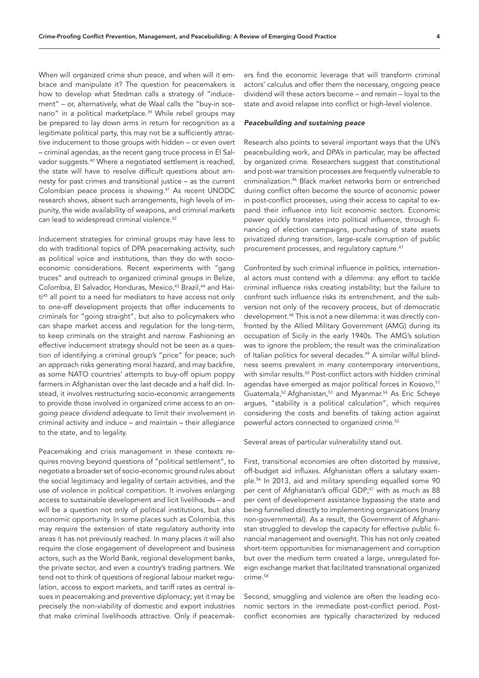When will organized crime shun peace, and when will it embrace and manipulate it? The question for peacemakers is how to develop what Stedman calls a strategy of "inducement" – or, alternatively, what de Waal calls the "buy-in scenario" in a political marketplace.<sup>39</sup> While rebel groups may be prepared to lay down arms in return for recognition as a legitimate political party, this may not be a sufficiently attractive inducement to those groups with hidden – or even overt – criminal agendas, as the recent gang truce process in El Salvador suggests.40 Where a negotiated settlement is reached, the state will have to resolve difficult questions about amnesty for past crimes and transitional justice – as the current Colombian peace process is showing.41 As recent UNODC research shows, absent such arrangements, high levels of impunity, the wide availability of weapons, and criminal markets can lead to widespread criminal violence.<sup>42</sup>

Inducement strategies for criminal groups may have less to do with traditional topics of DPA peacemaking activity, such as political voice and institutions, than they do with socioeconomic considerations. Recent experiments with "gang truces" and outreach to organized criminal groups in Belize, Colombia, El Salvador, Honduras, Mexico,<sup>43</sup> Brazil,<sup>44</sup> and Haiti<sup>45</sup> all point to a need for mediators to have access not only to one-off development projects that offer inducements to criminals for "going straight", but also to policymakers who can shape market access and regulation for the long-term, to keep criminals on the straight and narrow. Fashioning an effective inducement strategy should not be seen as a question of identifying a criminal group's "price" for peace; such an approach risks generating moral hazard, and may backfire, as some NATO countries' attempts to buy-off opium poppy farmers in Afghanistan over the last decade and a half did. Instead, it involves restructuring socio-economic arrangements to provide those involved in organized crime access to an *ongoing peace dividend* adequate to limit their involvement in criminal activity and induce – and maintain – their allegiance to the state, and to legality.

Peacemaking and crisis management in these contexts requires moving beyond questions of "political settlement", to negotiate a broader set of socio-economic ground rules about the social legitimacy and legality of certain activities, and the use of violence in political competition. It involves enlarging access to sustainable development and licit livelihoods – and will be a question not only of political institutions, but also economic opportunity. In some places such as Colombia, this may require the extension of state regulatory authority into areas it has not previously reached. In many places it will also require the close engagement of development and business actors, such as the World Bank, regional development banks, the private sector, and even a country's trading partners. We tend not to think of questions of regional labour market regulation, access to export markets, and tariff rates as central issues in peacemaking and preventive diplomacy; yet it may be precisely the non-viability of domestic and export industries that make criminal livelihoods attractive. Only if peacemakers find the economic leverage that will transform criminal actors' calculus and offer them the necessary, ongoing peace dividend will these actors become – and remain – loyal to the state and avoid relapse into conflict or high-level violence.

#### *Peacebuilding and sustaining peace*

Research also points to several important ways that the UN's peacebuilding work, and DPA's in particular, may be affected by organized crime. Researchers suggest that constitutional and post-war transition processes are frequently vulnerable to criminalization.46 Black market networks born or entrenched during conflict often become the source of economic power in post-conflict processes, using their access to capital to expand their influence into licit economic sectors. Economic power quickly translates into political influence, through financing of election campaigns, purchasing of state assets privatized during transition, large-scale corruption of public procurement processes, and regulatory capture.47

Confronted by such criminal influence in politics, international actors must contend with a dilemma: any effort to tackle criminal influence risks creating instability; but the failure to confront such influence risks its entrenchment, and the subversion not only of the recovery process, but of democratic development.48 This is not a new dilemma: it was directly confronted by the Allied Military Government (AMG) during its occupation of Sicily in the early 1940s. The AMG's solution was to ignore the problem; the result was the criminalization of Italian politics for several decades.<sup>49</sup> A similar wilful blindness seems prevalent in many contemporary interventions, with similar results.<sup>50</sup> Post-conflict actors with hidden criminal agendas have emerged as major political forces in Kosovo.<sup>51</sup> Guatemala,52 Afghanistan,53 and Myanmar.54 As Eric Scheye argues, "stability is a political calculation", which requires considering the costs and benefits of taking action against powerful actors connected to organized crime.<sup>55</sup>

Several areas of particular vulnerability stand out.

First, transitional economies are often distorted by massive, off-budget aid influxes. Afghanistan offers a salutary example.56 In 2013, aid and military spending equalled some 90 per cent of Afghanistan's official GDP:<sup>57</sup> with as much as 88 per cent of development assistance bypassing the state and being funnelled directly to implementing organizations (many non-governmental). As a result, the Government of Afghanistan struggled to develop the capacity for effective public financial management and oversight. This has not only created short-term opportunities for mismanagement and corruption but over the medium term created a large, unregulated foreign exchange market that facilitated transnational organized crime.58

Second, smuggling and violence are often the leading economic sectors in the immediate post-conflict period. Postconflict economies are typically characterized by reduced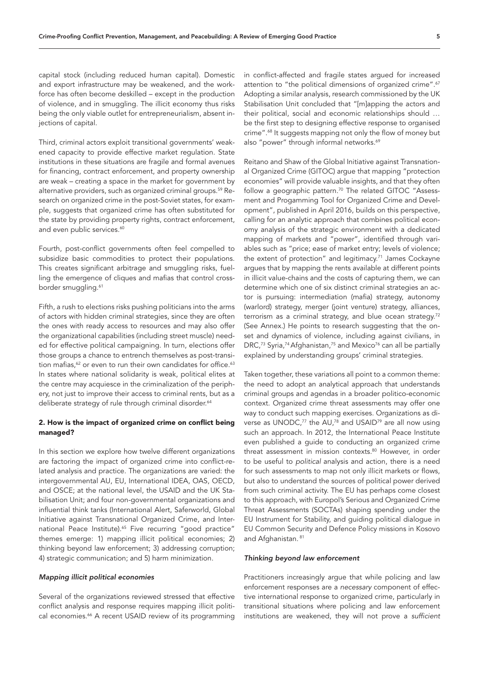capital stock (including reduced human capital). Domestic and export infrastructure may be weakened, and the workforce has often become deskilled – except in the production of violence, and in smuggling. The illicit economy thus risks being the only viable outlet for entrepreneurialism, absent injections of capital.

Third, criminal actors exploit transitional governments' weakened capacity to provide effective market regulation. State institutions in these situations are fragile and formal avenues for financing, contract enforcement, and property ownership are weak – creating a space in the market for government by alternative providers, such as organized criminal groups.59 Research on organized crime in the post-Soviet states, for example, suggests that organized crime has often substituted for the state by providing property rights, contract enforcement, and even public services.<sup>60</sup>

Fourth, post-conflict governments often feel compelled to subsidize basic commodities to protect their populations. This creates significant arbitrage and smuggling risks, fuelling the emergence of cliques and mafias that control crossborder smuggling.<sup>61</sup>

Fifth, a rush to elections risks pushing politicians into the arms of actors with hidden criminal strategies, since they are often the ones with ready access to resources and may also offer the organizational capabilities (including street muscle) needed for effective political campaigning. In turn, elections offer those groups a chance to entrench themselves as post-transition mafias,<sup>62</sup> or even to run their own candidates for office.<sup>63</sup> In states where national solidarity is weak, political elites at the centre may acquiesce in the criminalization of the periphery, not just to improve their access to criminal rents, but as a deliberate strategy of rule through criminal disorder.<sup>64</sup>

# 2. How is the impact of organized crime on conflict being managed?

In this section we explore how twelve different organizations are factoring the impact of organized crime into conflict-related analysis and practice. The organizations are varied: the intergovernmental AU, EU, International IDEA, OAS, OECD, and OSCE; at the national level, the USAID and the UK Stabilisation Unit; and four non-governmental organizations and influential think tanks (International Alert, Saferworld, Global Initiative against Transnational Organized Crime, and International Peace Institute).<sup>65</sup> Five recurring "good practice" themes emerge: 1) mapping illicit political economies; 2) thinking beyond law enforcement; 3) addressing corruption; 4) strategic communication; and 5) harm minimization.

# *Mapping illicit political economies*

Several of the organizations reviewed stressed that effective conflict analysis and response requires mapping illicit political economies.<sup>66</sup> A recent USAID review of its programming

in conflict-affected and fragile states argued for increased attention to "the political dimensions of organized crime".<sup>67</sup> Adopting a similar analysis, research commissioned by the UK Stabilisation Unit concluded that "[m]apping the actors and their political, social and economic relationships should … be the first step to designing effective response to organised crime".<sup>68</sup> It suggests mapping not only the flow of money but also "power" through informal networks.<sup>69</sup>

Reitano and Shaw of the Global Initiative against Transnational Organized Crime (GITOC) argue that mapping "protection economies" will provide valuable insights, and that they often follow a geographic pattern.<sup>70</sup> The related GITOC "Assessment and Progamming Tool for Organized Crime and Development", published in April 2016, builds on this perspective, calling for an analytic approach that combines political economy analysis of the strategic environment with a dedicated mapping of markets and "power", identified through variables such as "price; ease of market entry; levels of violence; the extent of protection" and legitimacy.<sup>71</sup> James Cockayne argues that by mapping the rents available at different points in illicit value-chains and the costs of capturing them, we can determine which one of six distinct criminal strategies an actor is pursuing: intermediation (mafia) strategy, autonomy (warlord) strategy, merger (joint venture) strategy, alliances, terrorism as a criminal strategy, and blue ocean strategy.<sup>72</sup> (See Annex.) He points to research suggesting that the onset and dynamics of violence, including against civilians, in DRC,<sup>73</sup> Syria,<sup>74</sup> Afghanistan,<sup>75</sup> and Mexico<sup>76</sup> can all be partially explained by understanding groups' criminal strategies.

Taken together, these variations all point to a common theme: the need to adopt an analytical approach that understands criminal groups and agendas in a broader politico-economic context. Organized crime threat assessments may offer one way to conduct such mapping exercises. Organizations as diverse as UNODC,<sup>77</sup> the AU,<sup>78</sup> and USAID<sup>79</sup> are all now using such an approach. In 2012, the International Peace Institute even published a guide to conducting an organized crime threat assessment in mission contexts.<sup>80</sup> However, in order to be useful to *political* analysis and action, there is a need for such assessments to map not only illicit markets or flows, but also to understand the sources of political power derived from such criminal activity. The EU has perhaps come closest to this approach, with Europol's Serious and Organized Crime Threat Assessments (SOCTAs) shaping spending under the EU Instrument for Stability, and guiding political dialogue in EU Common Security and Defence Policy missions in Kosovo and Afghanistan. 81

# *Thinking beyond law enforcement*

Practitioners increasingly argue that while policing and law enforcement responses are a *necessary* component of effective international response to organized crime, particularly in transitional situations where policing and law enforcement institutions are weakened, they will not prove a *sufficient*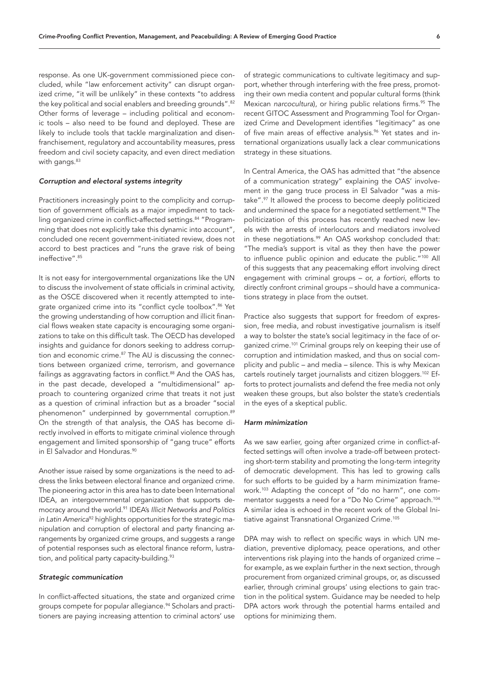response. As one UK-government commissioned piece concluded, while "law enforcement activity" can disrupt organized crime, "it will be unlikely" in these contexts "to address the key political and social enablers and breeding grounds".<sup>82</sup> Other forms of leverage – including political and economic tools – also need to be found and deployed. These are likely to include tools that tackle marginalization and disenfranchisement, regulatory and accountability measures, press freedom and civil society capacity, and even direct mediation with gangs.<sup>83</sup>

# *Corruption and electoral systems integrity*

Practitioners increasingly point to the complicity and corruption of government officials as a major impediment to tackling organized crime in conflict-affected settings.<sup>84</sup> "Programming that does not explicitly take this dynamic into account", concluded one recent government-initiated review, does not accord to best practices and "runs the grave risk of being ineffective".85

It is not easy for intergovernmental organizations like the UN to discuss the involvement of state officials in criminal activity, as the OSCE discovered when it recently attempted to integrate organized crime into its "conflict cycle toolbox".<sup>86</sup> Yet the growing understanding of how corruption and illicit financial flows weaken state capacity is encouraging some organizations to take on this difficult task. The OECD has developed insights and guidance for donors seeking to address corruption and economic crime.<sup>87</sup> The AU is discussing the connections between organized crime, terrorism, and governance failings as aggravating factors in conflict.<sup>88</sup> And the OAS has, in the past decade, developed a "multidimensional" approach to countering organized crime that treats it not just as a question of criminal infraction but as a broader "social phenomenon" underpinned by governmental corruption.<sup>89</sup> On the strength of that analysis, the OAS has become directly involved in efforts to mitigate criminal violence through engagement and limited sponsorship of "gang truce" efforts in El Salvador and Honduras.<sup>90</sup>

Another issue raised by some organizations is the need to address the links between electoral finance and organized crime. The pioneering actor in this area has to date been International IDEA, an intergovernmental organization that supports democracy around the world.91 IDEA's *Illicit Networks and Politics in Latin America*92 highlights opportunities for the strategic manipulation and corruption of electoral and party financing arrangements by organized crime groups, and suggests a range of potential responses such as electoral finance reform, lustration, and political party capacity-building.<sup>93</sup>

## *Strategic communication*

In conflict-affected situations, the state and organized crime groups compete for popular allegiance.<sup>94</sup> Scholars and practitioners are paying increasing attention to criminal actors' use

of strategic communications to cultivate legitimacy and support, whether through interfering with the free press, promoting their own media content and popular cultural forms (think Mexican *narcocultura*), or hiring public relations firms.<sup>95</sup> The recent GITOC Assessment and Programming Tool for Organized Crime and Development identifies "legitimacy" as one of five main areas of effective analysis.<sup>96</sup> Yet states and international organizations usually lack a clear communications strategy in these situations.

In Central America, the OAS has admitted that "the absence of a communication strategy" explaining the OAS' involvement in the gang truce process in El Salvador "was a mistake".97 It allowed the process to become deeply politicized and undermined the space for a negotiated settlement.<sup>98</sup> The politicization of this process has recently reached new levels with the arrests of interlocutors and mediators involved in these negotiations.<sup>99</sup> An OAS workshop concluded that: "The media's support is vital as they then have the power to influence public opinion and educate the public."<sup>100</sup> All of this suggests that any peacemaking effort involving direct engagement with criminal groups – or, *a fortiori*, efforts to directly confront criminal groups – should have a communications strategy in place from the outset.

Practice also suggests that support for freedom of expression, free media, and robust investigative journalism is itself a way to bolster the state's social legitimacy in the face of organized crime.<sup>101</sup> Criminal groups rely on keeping their use of corruption and intimidation masked, and thus on social complicity and public – and media – silence. This is why Mexican cartels routinely target journalists and citizen bloggers.102 Efforts to protect journalists and defend the free media not only weaken these groups, but also bolster the state's credentials in the eyes of a skeptical public.

#### *Harm minimization*

As we saw earlier, going after organized crime in conflict-affected settings will often involve a trade-off between protecting short-term stability and promoting the long-term integrity of democratic development. This has led to growing calls for such efforts to be guided by a harm minimization framework.103 Adapting the concept of "do no harm", one commentator suggests a need for a "Do No Crime" approach.104 A similar idea is echoed in the recent work of the Global Initiative against Transnational Organized Crime.<sup>105</sup>

DPA may wish to reflect on specific ways in which UN mediation, preventive diplomacy, peace operations, and other interventions risk playing into the hands of organized crime – for example, as we explain further in the next section, through procurement from organized criminal groups, or, as discussed earlier, through criminal groups' using elections to gain traction in the political system. Guidance may be needed to help DPA actors work through the potential harms entailed and options for minimizing them.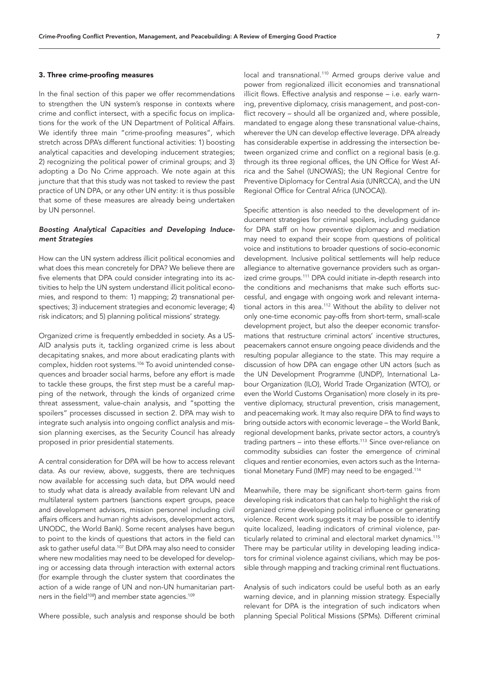#### 3. Three crime-proofing measures

In the final section of this paper we offer recommendations to strengthen the UN system's response in contexts where crime and conflict intersect, with a specific focus on implications for the work of the UN Department of Political Affairs. We identify three main "crime-proofing measures", which stretch across DPA's different functional activities: 1) boosting analytical capacities and developing inducement strategies; 2) recognizing the political power of criminal groups; and 3) adopting a Do No Crime approach. We note again at this juncture that that this study was not tasked to review the past practice of UN DPA, or any other UN entity: it is thus possible that some of these measures are already being undertaken by UN personnel.

# *Boosting Analytical Capacities and Developing Inducement Strategies*

How can the UN system address illicit political economies and what does this mean concretely for DPA? We believe there are five elements that DPA could consider integrating into its activities to help the UN system understand illicit political economies, and respond to them: 1) mapping; 2) transnational perspectives; 3) inducement strategies and economic leverage; 4) risk indicators; and 5) planning political missions' strategy.

Organized crime is frequently embedded in society. As a US-AID analysis puts it, tackling organized crime is less about decapitating snakes, and more about eradicating plants with complex, hidden root systems.106 To avoid unintended consequences and broader social harms, before any effort is made to tackle these groups, the first step must be a careful mapping of the network, through the kinds of organized crime threat assessment, value-chain analysis, and "spotting the spoilers" processes discussed in section 2. DPA may wish to integrate such analysis into ongoing conflict analysis and mission planning exercises, as the Security Council has already proposed in prior presidential statements.

A central consideration for DPA will be how to access relevant data. As our review, above, suggests, there are techniques now available for accessing such data, but DPA would need to study what data is already available from relevant UN and multilateral system partners (sanctions expert groups, peace and development advisors, mission personnel including civil affairs officers and human rights advisors, development actors, UNODC, the World Bank). Some recent analyses have begun to point to the kinds of questions that actors in the field can ask to gather useful data.107 But DPA may also need to consider where new modalities may need to be developed for developing or accessing data through interaction with external actors (for example through the cluster system that coordinates the action of a wide range of UN and non-UN humanitarian partners in the field<sup>108</sup>) and member state agencies.<sup>109</sup>

Where possible, such analysis and response should be both

local and transnational.<sup>110</sup> Armed groups derive value and power from regionalized illicit economies and transnational illicit flows. Effective analysis and response – i.e. early warning, preventive diplomacy, crisis management, and post-conflict recovery – should all be organized and, where possible, mandated to engage along these transnational value-chains, wherever the UN can develop effective leverage. DPA already has considerable expertise in addressing the intersection between organized crime and conflict on a regional basis (e.g. through its three regional offices, the UN Office for West Africa and the Sahel (UNOWAS); the UN Regional Centre for Preventive Diplomacy for Central Asia (UNRCCA), and the UN Regional Office for Central Africa (UNOCA)).

Specific attention is also needed to the development of inducement strategies for criminal spoilers, including guidance for DPA staff on how preventive diplomacy and mediation may need to expand their scope from questions of political voice and institutions to broader questions of socio-economic development. Inclusive political settlements will help reduce allegiance to alternative governance providers such as organized crime groups.<sup>111</sup> DPA could initiate in-depth research into the conditions and mechanisms that make such efforts successful, and engage with ongoing work and relevant international actors in this area.112 Without the ability to deliver not only one-time economic pay-offs from short-term, small-scale development project, but also the deeper economic transformations that restructure criminal actors' incentive structures, peacemakers cannot ensure ongoing peace dividends and the resulting popular allegiance to the state. This may require a discussion of how DPA can engage other UN actors (such as the UN Development Programme (UNDP), International Labour Organization (ILO), World Trade Organization (WTO), or even the World Customs Organisation) more closely in its preventive diplomacy, structural prevention, crisis management, and peacemaking work. It may also require DPA to find ways to bring outside actors with economic leverage – the World Bank, regional development banks, private sector actors, a country's trading partners  $-$  into these efforts.<sup>113</sup> Since over-reliance on commodity subsidies can foster the emergence of criminal cliques and rentier economies, even actors such as the International Monetary Fund (IMF) may need to be engaged.<sup>114</sup>

Meanwhile, there may be significant short-term gains from developing risk indicators that can help to highlight the risk of organized crime developing political influence or generating violence. Recent work suggests it may be possible to identify quite localized, leading indicators of criminal violence, particularly related to criminal and electoral market dynamics.<sup>115</sup> There may be particular utility in developing leading indicators for criminal violence against civilians, which may be possible through mapping and tracking criminal rent fluctuations.

Analysis of such indicators could be useful both as an early warning device, and in planning mission strategy. Especially relevant for DPA is the integration of such indicators when planning Special Political Missions (SPMs). Different criminal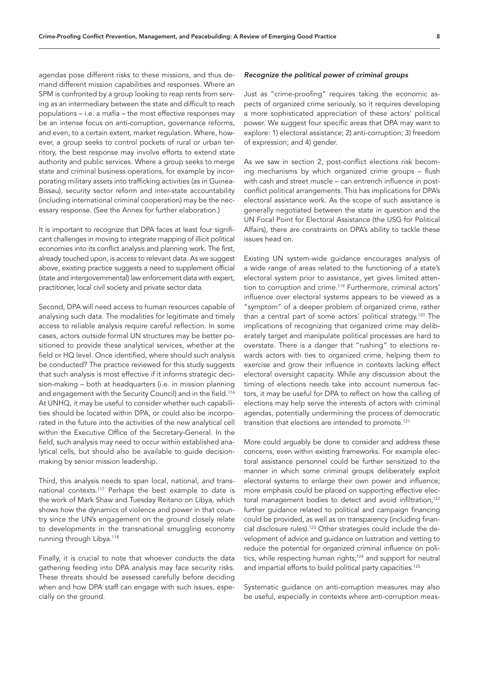agendas pose different risks to these missions, and thus demand different mission capabilities and responses. Where an SPM is confronted by a group looking to reap rents from serving as an intermediary between the state and difficult to reach populations – i.e. a mafia – the most effective responses may be an intense focus on anti-corruption, governance reforms, and even, to a certain extent, market regulation. Where, however, a group seeks to control pockets of rural or urban territory, the best response may involve efforts to extend state authority and public services. Where a group seeks to merge state and criminal business operations, for example by incorporating military assets into trafficking activities (as in Guinea-Bissau), security sector reform and inter-state accountability (including international criminal cooperation) may be the necessary response. (See the Annex for further elaboration.)

It is important to recognize that DPA faces at least four significant challenges in moving to integrate mapping of illicit political economies into its conflict analysis and planning work. The first, already touched upon, is access to relevant data. As we suggest above, existing practice suggests a need to supplement official (state and intergovernmental) law enforcement data with expert, practitioner, local civil society and private sector data.

Second, DPA will need access to human resources capable of analysing such data. The modalities for legitimate and timely access to reliable analysis require careful reflection. In some cases, actors *outside* formal UN structures may be better positioned to provide these analytical services, whether at the field or HQ level. Once identified, where should such analysis be conducted? The practice reviewed for this study suggests that such analysis is most effective if it informs strategic decision-making – both at headquarters (i.e. in mission planning and engagement with the Security Council) and in the field.<sup>116</sup> At UNHQ, it may be useful to consider whether such capabilities should be located within DPA, or could also be incorporated in the future into the activities of the new analytical cell within the Executive Office of the Secretary-General. In the field, such analysis may need to occur within established analytical cells, but should also be available to guide decisionmaking by senior mission leadership.

Third, this analysis needs to span local, national, *and* transnational contexts.117 Perhaps the best example to date is the work of Mark Shaw and Tuesday Reitano on Libya, which shows how the dynamics of violence and power in that country since the UN's engagement on the ground closely relate to developments in the transnational smuggling economy running through Libya.118

Finally, it is crucial to note that whoever conducts the data gathering feeding into DPA analysis may face security risks. These threats should be assessed carefully before deciding when and how DPA staff can engage with such issues, especially on the ground.

# *Recognize the political power of criminal groups*

Just as "crime-proofing" requires taking the economic aspects of organized crime seriously, so it requires developing a more sophisticated appreciation of these actors' political power. We suggest four specific areas that DPA may want to explore: 1) electoral assistance; 2) anti-corruption; 3) freedom of expression; and 4) gender.

As we saw in section 2, post-conflict elections risk becoming mechanisms by which organized crime groups – flush with cash and street muscle – can entrench influence in postconflict political arrangements. This has implications for DPA's electoral assistance work. As the scope of such assistance is generally negotiated between the state in question and the UN Focal Point for Electoral Assistance (the USG for Political Affairs), there are constraints on DPA's ability to tackle these issues head on.

Existing UN system-wide guidance encourages analysis of a wide range of areas related to the functioning of a state's electoral system prior to assistance, yet gives limited attention to corruption and crime.<sup>119</sup> Furthermore, criminal actors' influence over electoral systems appears to be viewed as a "symptom" of a deeper problem of organized crime, rather than a central part of some actors' political strategy.<sup>120</sup> The implications of recognizing that organized crime may deliberately target and manipulate political processes are hard to overstate. There is a danger that "rushing" to elections rewards actors with ties to organized crime, helping them to exercise and grow their influence in contexts lacking effect electoral oversight capacity. While any discussion about the timing of elections needs take into account numerous factors, it may be useful for DPA to reflect on how the calling of elections may help serve the interests of actors with criminal agendas, potentially undermining the process of democratic transition that elections are intended to promote.<sup>121</sup>

More could arguably be done to consider and address these concerns, even within existing frameworks. For example electoral assistance personnel could be further sensitized to the manner in which some criminal groups deliberately exploit electoral systems to enlarge their own power and influence; more emphasis could be placed on supporting effective electoral management bodies to detect and avoid infiltration;<sup>122</sup> further guidance related to political and campaign financing could be provided, as well as on transparency (including financial disclosure rules).123 Other strategies could include the development of advice and guidance on lustration and vetting to reduce the potential for organized criminal influence on politics, while respecting human rights;<sup>124</sup> and support for neutral and impartial efforts to build political party capacities.<sup>125</sup>

Systematic guidance on anti-corruption measures may also be useful, especially in contexts where anti-corruption meas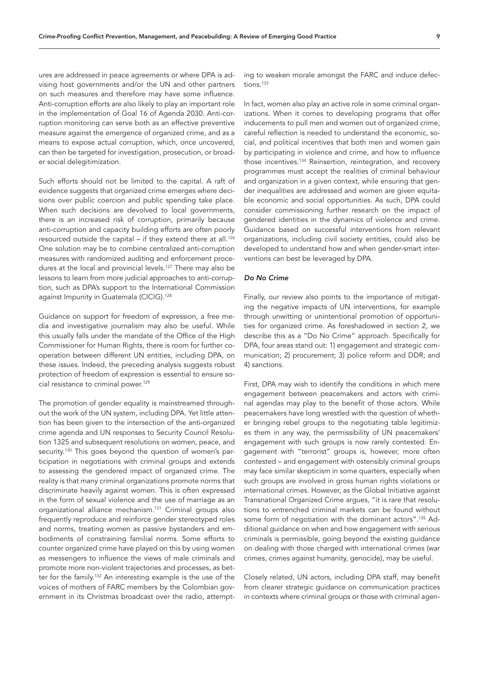ures are addressed in peace agreements or where DPA is advising host governments and/or the UN and other partners on such measures and therefore may have some influence. Anti-corruption efforts are also likely to play an important role in the implementation of Goal 16 of Agenda 2030. Anti-corruption monitoring can serve both as an effective preventive measure against the emergence of organized crime, and as a means to expose actual corruption, which, once uncovered, can then be targeted for investigation, prosecution, or broader social delegitimization.

Such efforts should not be limited to the capital. A raft of evidence suggests that organized crime emerges where decisions over public coercion and public spending take place. When such decisions are devolved to local governments, there is an increased risk of corruption, primarily because anti-corruption and capacity building efforts are often poorly resourced outside the capital – if they extend there at all.<sup>126</sup> One solution may be to combine centralized anti-corruption measures with randomized auditing and enforcement procedures at the local and provincial levels.<sup>127</sup> There may also be lessons to learn from more judicial approaches to anti-corruption, such as DPA's support to the International Commission against Impunity in Guatemala (CICIG).<sup>128</sup>

Guidance on support for freedom of expression, a free media and investigative journalism may also be useful. While this usually falls under the mandate of the Office of the High Commissioner for Human Rights, there is room for further cooperation between different UN entities, including DPA, on these issues. Indeed, the preceding analysis suggests robust protection of freedom of expression is essential to ensure social resistance to criminal power.129

The promotion of gender equality is mainstreamed throughout the work of the UN system, including DPA. Yet little attention has been given to the intersection of the anti-organized crime agenda and UN responses to Security Council Resolution 1325 and subsequent resolutions on women, peace, and security.<sup>130</sup> This goes beyond the question of women's participation in negotiations with criminal groups and extends to assessing the gendered impact of organized crime. The reality is that many criminal organizations promote norms that discriminate heavily against women. This is often expressed in the form of sexual violence and the use of marriage as an organizational alliance mechanism.131 Criminal groups also frequently reproduce and reinforce gender stereotyped roles and norms, treating women as passive bystanders and embodiments of constraining familial norms. Some efforts to counter organized crime have played on this by using women as messengers to influence the views of male criminals and promote more non-violent trajectories and processes, as better for the family.132 An interesting example is the use of the voices of mothers of FARC members by the Colombian government in its Christmas broadcast over the radio, attempting to weaken morale amongst the FARC and induce defections.<sup>133</sup>

In fact, women also play an active role in some criminal organizations. When it comes to developing programs that offer inducements to pull men and women out of organized crime, careful reflection is needed to understand the economic, social, and political incentives that both men and women gain by participating in violence and crime, and how to influence those incentives.134 Reinsertion, reintegration, and recovery programmes must accept the realities of criminal behaviour and organization in a given context, while ensuring that gender inequalities are addressed and women are given equitable economic and social opportunities. As such, DPA could consider commissioning further research on the impact of gendered identities in the dynamics of violence and crime. Guidance based on successful interventions from relevant organizations, including civil society entities, could also be developed to understand how and when gender-smart interventions can best be leveraged by DPA.

## *Do No Crime*

Finally, our review also points to the importance of mitigating the negative impacts of UN interventions, for example through unwitting or unintentional promotion of opportunities for organized crime. As foreshadowed in section 2, we describe this as a "Do No Crime" approach. Specifically for DPA, four areas stand out: 1) engagement and strategic communication; 2) procurement; 3) police reform and DDR; and 4) sanctions.

First, DPA may wish to identify the conditions in which mere engagement between peacemakers and actors with criminal agendas may play to the benefit of those actors. While peacemakers have long wrestled with the question of whether bringing rebel groups to the negotiating table legitimizes them in any way, the permissibility of UN peacemakers' engagement with such groups is now rarely contested. Engagement with "terrorist" groups is, however, more often contested – and engagement with ostensibly criminal groups may face similar skepticism in some quarters, especially when such groups are involved in gross human rights violations or international crimes. However, as the Global Initiative against Transnational Organized Crime argues, "it is rare that resolutions to entrenched criminal markets can be found without some form of negotiation with the dominant actors".135 Additional guidance on when and how engagement with serious criminals is permissible, going beyond the existing guidance on dealing with those charged with international crimes (war crimes, crimes against humanity, genocide), may be useful.

Closely related, UN actors, including DPA staff, may benefit from clearer strategic guidance on communication practices in contexts where criminal groups or those with criminal agen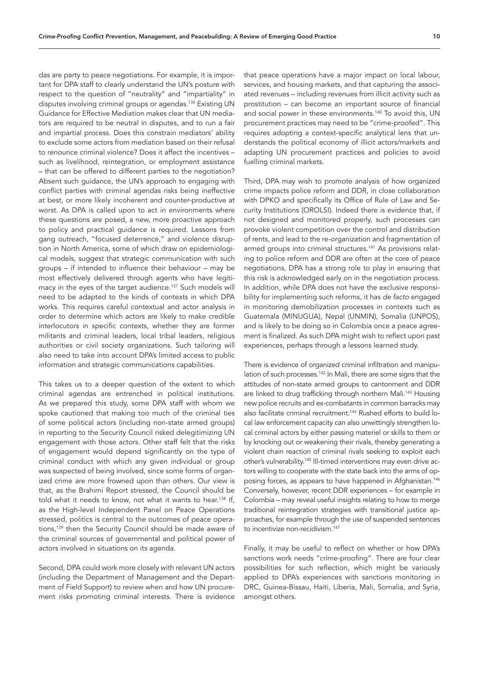das are party to peace negotiations. For example, it is important for DPA staff to clearly understand the UN's posture with respect to the question of "neutrality" and "impartiality" in disputes involving criminal groups or agendas.<sup>136</sup> Existing UN Guidance for Effective Mediation makes clear that UN mediators are required to be neutral in disputes, and to run a fair and impartial process. Does this constrain mediators' ability to exclude some actors from mediation based on their refusal to renounce criminal violence? Does it affect the incentives – such as livelihood, reintegration, or employment assistance – that can be offered to different parties to the negotiation? Absent such guidance, the UN's approach to engaging with conflict parties with criminal agendas risks being ineffective at best, or more likely incoherent and counter-productive at worst. As DPA is called upon to act in environments where these questions are posed, a new, more proactive approach to policy and practical guidance is required. Lessons from gang outreach, "focused deterrence," and violence disruption in North America, some of which draw on epidemiological models, suggest that strategic communication with such groups – if intended to influence their behaviour – may be most effectively delivered through agents who have legitimacy in the eyes of the target audience.137 Such models will need to be adapted to the kinds of contexts in which DPA works. This requires careful contextual and actor analysis in order to determine which actors are likely to make credible interlocutors in specific contexts, whether they are former militants and criminal leaders, local tribal leaders, religious authorities or civil society organizations. Such tailoring will also need to take into account DPA's limited access to public information and strategic communications capabilities.

This takes us to a deeper question of the extent to which criminal agendas are entrenched in political institutions. As we prepared this study, some DPA staff with whom we spoke cautioned that making too much of the criminal ties of some political actors (including non-state armed groups) in reporting to the Security Council risked delegitimizing UN engagement with those actors. Other staff felt that the risks of engagement would depend significantly on the type of criminal conduct with which any given individual or group was suspected of being involved, since some forms of organized crime are more frowned upon than others. Our view is that, as the Brahimi Report stressed, the Council should be told what it needs to know, not what it wants to hear.<sup>138</sup> If, as the High-level Independent Panel on Peace Operations stressed, politics is central to the outcomes of peace operations,139 then the Security Council should be made aware of the criminal sources of governmental and political power of actors involved in situations on its agenda.

Second, DPA could work more closely with relevant UN actors (including the Department of Management and the Department of Field Support) to review when and how UN procurement risks promoting criminal interests. There is evidence

that peace operations have a major impact on local labour, services, and housing markets, and that capturing the associated revenues – including revenues from illicit activity such as prostitution – can become an important source of financial and social power in these environments.<sup>140</sup> To avoid this, UN procurement practices may need to be "crime-proofed". This requires adopting a context-specific analytical lens that understands the political economy of illicit actors/markets and adapting UN procurement practices and policies to avoid fuelling criminal markets.

Third, DPA may wish to promote analysis of how organized crime impacts police reform and DDR, in close collaboration with DPKO and specifically its Office of Rule of Law and Security Institutions (OROLSI). Indeed there is evidence that, if not designed and monitored properly, such processes can provoke violent competition over the control and distribution of rents, and lead to the re-organization and fragmentation of armed groups into criminal structures.<sup>141</sup> As provisions relating to police reform and DDR are often at the core of peace negotiations, DPA has a strong role to play in ensuring that this risk is acknowledged early on in the negotiation process. In addition, while DPA does not have the exclusive responsibility for implementing such reforms, it has *de facto* engaged in monitoring demobilization processes in contexts such as Guatemala (MINUGUA), Nepal (UNMIN), Somalia (UNPOS), and is likely to be doing so in Colombia once a peace agreement is finalized. As such DPA might wish to reflect upon past experiences, perhaps through a lessons learned study.

There is evidence of organized criminal infiltration and manipulation of such processes.<sup>142</sup> In Mali, there are some signs that the attitudes of non-state armed groups to cantonment and DDR are linked to drug trafficking through northern Mali.<sup>143</sup> Housing new police recruits and ex-combatants in common barracks may also facilitate criminal recruitment.<sup>144</sup> Rushed efforts to build local law enforcement capacity can also unwittingly strengthen local criminal actors by either passing materiel or skills to them or by knocking out or weakening their rivals, thereby generating a violent chain reaction of criminal rivals seeking to exploit each other's vulnerability.<sup>145</sup> Ill-timed interventions may even drive actors willing to cooperate with the state back into the arms of opposing forces, as appears to have happened in Afghanistan.146 Conversely, however, recent DDR experiences – for example in Colombia – may reveal useful insights relating to how to merge traditional reintegration strategies with transitional justice approaches, for example through the use of suspended sentences to incentivize non-recidivism.<sup>147</sup>

Finally, it may be useful to reflect on whether or how DPA's sanctions work needs "crime-proofing". There are four clear possibilities for such reflection, which might be variously applied to DPA's experiences with sanctions monitoring in DRC, Guinea-Bissau, Haiti, Liberia, Mali, Somalia, and Syria, amongst others.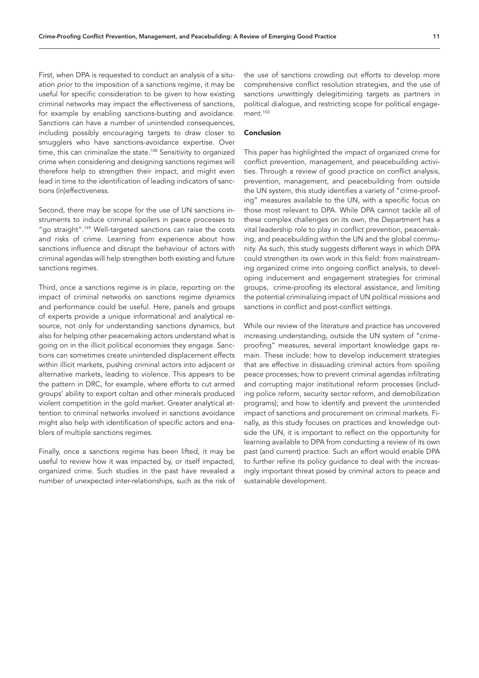First, when DPA is requested to conduct an analysis of a situation *prior* to the imposition of a sanctions regime, it may be useful for specific consideration to be given to how existing criminal networks may impact the effectiveness of sanctions, for example by enabling sanctions-busting and avoidance. Sanctions can have a number of unintended consequences, including possibly encouraging targets to draw closer to smugglers who have sanctions-avoidance expertise. Over time, this can criminalize the state.<sup>148</sup> Sensitivity to organized crime when considering and designing sanctions regimes will therefore help to strengthen their impact, and might even lead in time to the identification of leading indicators of sanctions (in)effectiveness.

Second, there may be scope for the use of UN sanctions instruments to induce criminal spoilers in peace processes to "go straight".<sup>149</sup> Well-targeted sanctions can raise the costs and risks of crime. Learning from experience about how sanctions influence and disrupt the behaviour of actors with criminal agendas will help strengthen both existing and future sanctions regimes.

Third, once a sanctions regime is in place, reporting on the impact of criminal networks on sanctions regime dynamics and performance could be useful. Here, panels and groups of experts provide a unique informational and analytical resource, not only for understanding sanctions dynamics, but also for helping other peacemaking actors understand what is going on in the illicit political economies they engage. Sanctions can sometimes create unintended displacement effects within illicit markets, pushing criminal actors into adjacent or alternative markets, leading to violence. This appears to be the pattern in DRC, for example, where efforts to cut armed groups' ability to export coltan and other minerals produced violent competition in the gold market. Greater analytical attention to criminal networks involved in sanctions avoidance might also help with identification of specific actors and enablers of multiple sanctions regimes.

Finally, once a sanctions regime has been lifted, it may be useful to review how it was impacted by, or itself impacted, organized crime. Such studies in the past have revealed a number of unexpected inter-relationships, such as the risk of the use of sanctions crowding out efforts to develop more comprehensive conflict resolution strategies, and the use of sanctions unwittingly delegitimizing targets as partners in political dialogue, and restricting scope for political engagement.<sup>150</sup>

## Conclusion

This paper has highlighted the impact of organized crime for conflict prevention, management, and peacebuilding activities. Through a review of good practice on conflict analysis, prevention, management, and peacebuilding from outside the UN system, this study identifies a variety of "crime-proofing" measures available to the UN, with a specific focus on those most relevant to DPA. While DPA cannot tackle all of these complex challenges on its own, the Department has a vital leadership role to play in conflict prevention, peacemaking, and peacebuilding within the UN and the global community. As such, this study suggests different ways in which DPA could strengthen its own work in this field: from mainstreaming organized crime into ongoing conflict analysis, to developing inducement and engagement strategies for criminal groups, crime-proofing its electoral assistance, and limiting the potential criminalizing impact of UN political missions and sanctions in conflict and post-conflict settings.

While our review of the literature and practice has uncovered increasing understanding, outside the UN system of "crimeproofing" measures, several important knowledge gaps remain. These include: how to develop inducement strategies that are effective in dissuading criminal actors from spoiling peace processes; how to prevent criminal agendas infiltrating and corrupting major institutional reform processes (including police reform, security sector reform, and demobilization programs); and how to identify and prevent the unintended impact of sanctions and procurement on criminal markets. Finally, as this study focuses on practices and knowledge outside the UN, it is important to reflect on the opportunity for learning available to DPA from conducting a review of its own past (and current) practice. Such an effort would enable DPA to further refine its policy guidance to deal with the increasingly important threat posed by criminal actors to peace and sustainable development.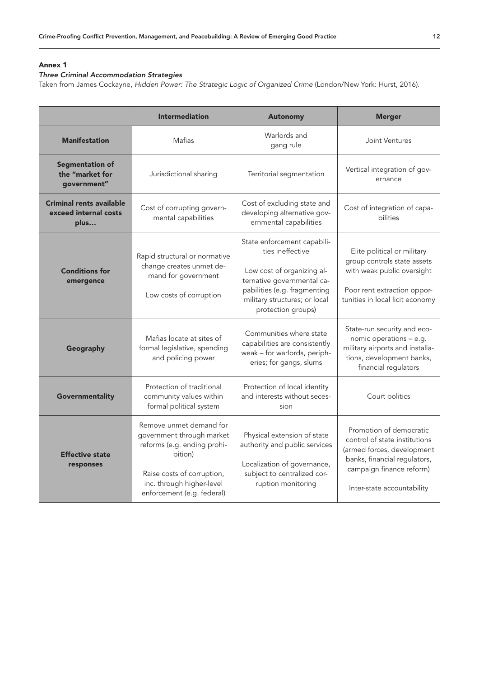# Annex 1

# *Three Criminal Accommodation Strategies*

Taken from James Cockayne, *Hidden Power: The Strategic Logic of Organized Crime* (London/New York: Hurst, 2016).

|                                                           | <b>Intermediation</b>                                                                                                                                                                   | <b>Autonomy</b>                                                                                                                                                                                    | <b>Merger</b>                                                                                                                                                                    |
|-----------------------------------------------------------|-----------------------------------------------------------------------------------------------------------------------------------------------------------------------------------------|----------------------------------------------------------------------------------------------------------------------------------------------------------------------------------------------------|----------------------------------------------------------------------------------------------------------------------------------------------------------------------------------|
| <b>Manifestation</b>                                      | Mafias                                                                                                                                                                                  | Warlords and<br>gang rule                                                                                                                                                                          | Joint Ventures                                                                                                                                                                   |
| <b>Segmentation of</b><br>the "market for<br>qovernment"  | Jurisdictional sharing                                                                                                                                                                  | Territorial segmentation                                                                                                                                                                           | Vertical integration of gov-<br>ernance                                                                                                                                          |
| Criminal rents available<br>exceed internal costs<br>plus | Cost of corrupting govern-<br>mental capabilities                                                                                                                                       | Cost of excluding state and<br>developing alternative gov-<br>ernmental capabilities                                                                                                               | Cost of integration of capa-<br>bilities                                                                                                                                         |
| <b>Conditions for</b><br>emergence                        | Rapid structural or normative<br>change creates unmet de-<br>mand for government<br>Low costs of corruption                                                                             | State enforcement capabili-<br>ties ineffective<br>Low cost of organizing al-<br>ternative governmental ca-<br>pabilities (e.g. fragmenting<br>military structures; or local<br>protection groups) | Elite political or military<br>group controls state assets<br>with weak public oversight<br>Poor rent extraction oppor-<br>tunities in local licit economy                       |
| Geography                                                 | Mafias locate at sites of<br>formal legislative, spending<br>and policing power                                                                                                         | Communities where state<br>capabilities are consistently<br>weak - for warlords, periph-<br>eries; for gangs, slums                                                                                | State-run security and eco-<br>nomic operations - e.g.<br>military airports and installa-<br>tions, development banks,<br>financial regulators                                   |
| Governmentality                                           | Protection of traditional<br>community values within<br>formal political system                                                                                                         | Protection of local identity<br>and interests without seces-<br>sion                                                                                                                               | Court politics                                                                                                                                                                   |
| <b>Effective state</b><br>responses                       | Remove unmet demand for<br>government through market<br>reforms (e.g. ending prohi-<br>bition)<br>Raise costs of corruption,<br>inc. through higher-level<br>enforcement (e.g. federal) | Physical extension of state<br>authority and public services<br>Localization of governance,<br>subject to centralized cor-<br>ruption monitoring                                                   | Promotion of democratic<br>control of state institutions<br>(armed forces, development<br>banks, financial regulators,<br>campaign finance reform)<br>Inter-state accountability |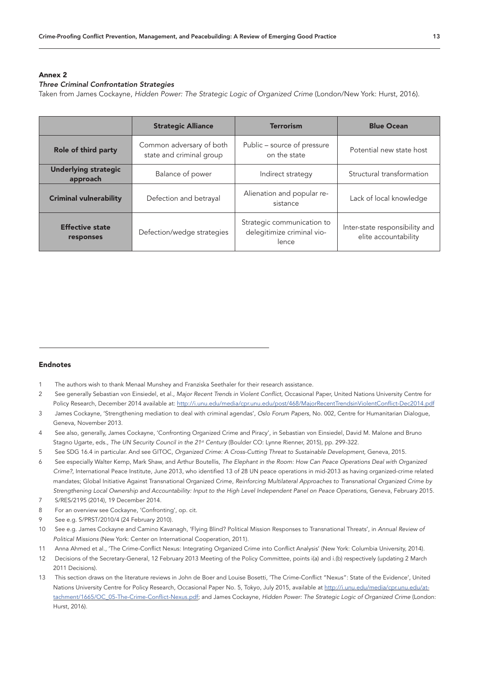# Annex 2

# *Three Criminal Confrontation Strategies*

Taken from James Cockayne, *Hidden Power: The Strategic Logic of Organized Crime* (London/New York: Hurst, 2016).

|                                         | <b>Strategic Alliance</b>                            | <b>Terrorism</b>                                                  | <b>Blue Ocean</b>                                      |
|-----------------------------------------|------------------------------------------------------|-------------------------------------------------------------------|--------------------------------------------------------|
| Role of third party                     | Common adversary of both<br>state and criminal group | Public – source of pressure<br>on the state                       | Potential new state host                               |
| <b>Underlying strategic</b><br>approach | Balance of power                                     | Indirect strategy                                                 | Structural transformation                              |
| <b>Criminal vulnerability</b>           | Defection and betrayal                               | Alienation and popular re-<br>sistance                            | Lack of local knowledge                                |
| <b>Effective state</b><br>responses     | Defection/wedge strategies                           | Strategic communication to<br>delegitimize criminal vio-<br>lence | Inter-state responsibility and<br>elite accountability |

# Endnotes

- 1 The authors wish to thank Menaal Munshey and Franziska Seethaler for their research assistance.
- 2 See generally Sebastian von Einsiedel, et al., *Major Recent Trends in Violent Conflict*, Occasional Paper, United Nations University Centre for Policy Research, December 2014 available at:<http://i.unu.edu/media/cpr.unu.edu/post/468/MajorRecentTrendsinViolentConflict-Dec2014.pdf>
- 3 James Cockayne, 'Strengthening mediation to deal with criminal agendas', *Oslo Forum Papers*, No. 002, Centre for Humanitarian Dialogue, Geneva, November 2013.
- 4 See also, generally, James Cockayne, 'Confronting Organized Crime and Piracy', in Sebastian von Einsiedel, David M. Malone and Bruno Stagno Ugarte, eds., *The UN Security Council in the 21st Century* (Boulder CO: Lynne Rienner, 2015), pp. 299-322.
- 5 See SDG 16.4 in particular. And see GITOC, *Organized Crime: A Cross-Cutting Threat to Sustainable Development*, Geneva, 2015.
- 6 See especially Walter Kemp, Mark Shaw, and Arthur Boutellis, *The Elephant in the Room: How Can Peace Operations Deal with Organized Crime?*, International Peace Institute, June 2013, who identified 13 of 28 UN peace operations in mid-2013 as having organized-crime related mandates; Global Initiative Against Transnational Organized Crime, *Reinforcing Multilateral Approaches to Transnational Organized Crime by Strengthening Local Ownership and Accountability: Input to the High Level Independent Panel on Peace Operations*, Geneva, February 2015.
- 7 S/RES/2195 (2014), 19 December 2014.
- 8 For an overview see Cockayne, 'Confronting', op. cit.
- 9 See e.g. S/PRST/2010/4 (24 February 2010).
- 10 See e.g. James Cockayne and Camino Kavanagh, 'Flying Blind? Political Mission Responses to Transnational Threats', in *Annual Review of Political Missions* (New York: Center on International Cooperation, 2011).
- 11 Anna Ahmed et al., 'The Crime-Conflict Nexus: Integrating Organized Crime into Conflict Analysis' (New York: Columbia University, 2014).
- 12 Decisions of the Secretary-General, 12 February 2013 Meeting of the Policy Committee, points i(a) and i.(b) respectively (updating 2 March 2011 Decisions).
- 13 This section draws on the literature reviews in John de Boer and Louise Bosetti, 'The Crime-Conflict "Nexus": State of the Evidence', United Nations University Centre for Policy Research, Occasional Paper No. 5, Tokyo, July 2015, available at [http://i.unu.edu/media/cpr.unu.edu/at](http://i.unu.edu/media/cpr.unu.edu/attachment/1665/OC_05-The-Crime-Conflict-Nexus.pdf)[tachment/1665/OC\\_05-The-Crime-Conflict-Nexus.pdf](http://i.unu.edu/media/cpr.unu.edu/attachment/1665/OC_05-The-Crime-Conflict-Nexus.pdf); and James Cockayne, *Hidden Power: The Strategic Logic of Organized Crime* (London: Hurst, 2016).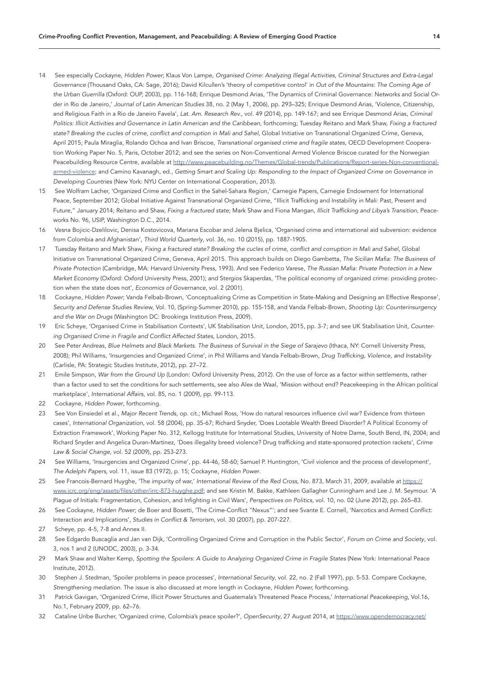- 14 See especially Cockayne, *Hidden Power*; Klaus Von Lampe, *Organised Crime: Analyzing Illegal Activities, Criminal Structures and Extra-Legal Governance* (Thousand Oaks, CA: Sage, 2016); David Kilcullen's 'theory of competitive control' in *Out of the Mountains: The Coming Age of the Urban Guerrilla* (Oxford: OUP, 2003), pp. 116-168; Enrique Desmond Arias, 'The Dynamics of Criminal Governance: Networks and Social Order in Rio de Janeiro,' *Journal of Latin American Studies* 38, no. 2 (May 1, 2006), pp. 293–325; Enrique Desmond Arias, 'Violence, Citizenship, and Religious Faith in a Rio de Janeiro Favela', *Lat. Am. Research Rev.*, vol. 49 (2014), pp. 149-167; and see Enrique Desmond Arias, *Criminal Politics: Illicit Activities and Governance in Latin American and the Caribbean*, forthcoming; Tuesday Reitano and Mark Shaw, *Fixing a fractured state? Breaking the cucles of crime, conflict and corruption in Mali and Sahel*, Global Initiative on Transnational Organized Crime, Geneva, April 2015; Paula Miraglia, Rolando Ochoa and Ivan Briscoe, *Transnational organised crime and fragile states*, OECD Development Cooperation Working Paper No. 5, Paris, October 2012; and see the series on Non-Conventional Armed Violence Briscoe curated for the Norwegian Peacebuilding Resource Centre, available at http://www.peacebuilding.no/Themes/Global-trends/Publications/Report-series-Non-conventionalarmed-violence; and Camino Kavanagh, ed., *Getting Smart and Scaling Up: Responding to the Impact of Organized Crime on Governance in Developing Countries* (New York: NYU Center on International Cooperation, 2013).
- 15 See Wolfram Lacher, 'Organized Crime and Conflict in the Sahel-Sahara Region,' Carnegie Papers, Carnegie Endowment for International Peace, September 2012; Global Initiative Against Transnational Organized Crime, "Illicit Trafficking and Instability in Mali: Past, Present and Future," January 2014; Reitano and Shaw, *Fixing a fractured state*; Mark Shaw and Fiona Mangan, *Illicit Trafficking and Libya's Transition*, Peaceworks No. 96, USIP, Washington D.C., 2014.
- 16 Vesna Bojicic-Dzelilovic, Denisa Kostovicova, Mariana Escobar and Jelena Bjelica, 'Organised crime and international aid subversion: evidence from Colombia and Afghanistan', *Third World Quarterly*, vol. 36, no. 10 (2015), pp. 1887-1905.
- 17 Tuesday Reitano and Mark Shaw, *Fixing a fractured state? Breaking the cucles of crime, conflict and corruption in Mali and Sahel*, Global Initiative on Transnational Organized Crime, Geneva, April 2015. This approach builds on Diego Gambetta, *The Sicilian Mafia: The Business of Private Protection* (Cambridge, MA: Harvard University Press, 1993). And see Federico Varese, *The Russian Mafia: Private Protection in a New Market Economy* (Oxford: Oxford University Press, 2001); and Stergios Skaperdas, 'The political economy of organized crime: providing protection when the state does not', *Economics of Governance*, vol. 2 (2001).
- 18 Cockayne, *Hidden Power*; Vanda Felbab-Brown, 'Conceptualizing Crime as Competition in State-Making and Designing an Effective Response', *Security and Defense Studies Review*, Vol. 10, (Spring-Summer 2010), pp. 155-158, and Vanda Felbab-Brown, *Shooting Up: Counterinsurgency and the War on Drugs* (Washington DC: Brookings Institution Press, 2009).
- 19 Eric Scheye, 'Organised Crime in Stabilisation Contexts', UK Stabilisation Unit, London, 2015, pp. 3-7; and see UK Stabilisation Unit, *Countering Organised Crime in Fragile and Conflict Affected States*, London, 2015.
- 20 See Peter Andreas, *Blue Helmets and Black Markets. The Business of Survival in the Siege of Sarajevo* (Ithaca, NY: Cornell University Press, 2008); Phil Williams, 'Insurgencies and Organized Crime', in Phil Williams and Vanda Felbab-Brown, *Drug Trafficking, Violence, and Instability*  (Carlisle, PA: Strategic Studies Institute, 2012), pp. 27–72.
- 21 Emile Simpson, *War from the Ground Up* (London: Oxford University Press, 2012). On the use of force as a factor within settlements, rather than a factor used to set the conditions for such settlements, see also Alex de Waal, 'Mission without end? Peacekeeping in the African political marketplace', *International Affairs*, vol. 85, no. 1 (2009), pp. 99-113.
- 22 Cockayne, *Hidden Power*, forthcoming.
- 23 See Von Einsiedel et al., *Major Recent Trends*, op. cit.; Michael Ross, 'How do natural resources influence civil war? Evidence from thirteen cases', *International Organization*, vol. 58 (2004), pp. 35-67; Richard Snyder, 'Does Lootable Wealth Breed Disorder? A Political Economy of Extraction Framework', Working Paper No. 312, Kellogg Institute for International Studies, University of Notre Dame, South Bend, IN, 2004; and Richard Snyder and Angelica Duran-Martinez, 'Does illegality breed violence? Drug trafficking and state-sponsored protection rackets', *Crime Law & Social Change,* vol. 52 (2009), pp. 253-273.
- 24 See Williams, 'Insurgencies and Organized Crime', pp. 44-46, 58-60; Samuel P. Huntington, 'Civil violence and the process of development', *The Adelphi Papers,* vol. 11, issue 83 (1972), p. 15; Cockayne, *Hidden Power*.
- 25 See Francois-Bernard Huyghe, 'The impurity of war,' *International Review of the Red Cross*, No. 873, March 31, 2009, available at [https://](https://www.icrc.org/eng/assets/files/other/irrc-873-huyghe.pdf) [www.icrc.org/eng/assets/files/other/irrc-873-huyghe.pdf;](https://www.icrc.org/eng/assets/files/other/irrc-873-huyghe.pdf) and see Kristin M. Bakke, Kathleen Gallagher Cunningham and Lee J. M. Seymour. 'A Plague of Initials: Fragmentation, Cohesion, and Infighting in Civil Wars', *Perspectives on Politics*, vol. 10, no. 02 (June 2012), pp. 265–83.
- 26 See Cockayne, *Hidden Power*; de Boer and Bosetti, 'The Crime-Conflict "Nexus"'; and see Svante E. Cornell, 'Narcotics and Armed Conflict: Interaction and Implications', *Studies in Conflict & Terrorism*, vol. 30 (2007), pp. 207-227.
- 27 Scheye, pp. 4-5, 7-8 and Annex II.
- 28 See Edgardo Buscaglia and Jan van Dijk, 'Controlling Organized Crime and Corruption in the Public Sector', *Forum on Crime and Society*, vol. 3, nos 1 and 2 (UNODC, 2003), p. 3-34.
- 29 Mark Shaw and Walter Kemp, *Spotting the Spoilers: A Guide to Analyzing Organized Crime in Fragile States* (New York: International Peace Institute, 2012).
- 30 Stephen J. Stedman, 'Spoiler problems in peace processes', *International Security*, vol. 22, no. 2 (Fall 1997), pp. 5-53. Compare Cockayne, *Strengthening mediation*. The issue is also discussed at more length in Cockayne, *Hidden Power,* forthcoming.
- 31 Patrick Gavigan, 'Organized Crime, Illicit Power Structures and Guatemala's Threatened Peace Process,' *International Peacekeeping*, Vol.16, No.1, February 2009, pp. 62–76.
- 32 Cataline Uribe Burcher, 'Organized crime, Colombia's peace spoiler?', *OpenSecurity*, 27 August 2014, at [https://www.opendemocracy.net/](https://www.opendemocracy.net/opensecurity/catalina-uribe-burcher/organized-crime-colombia)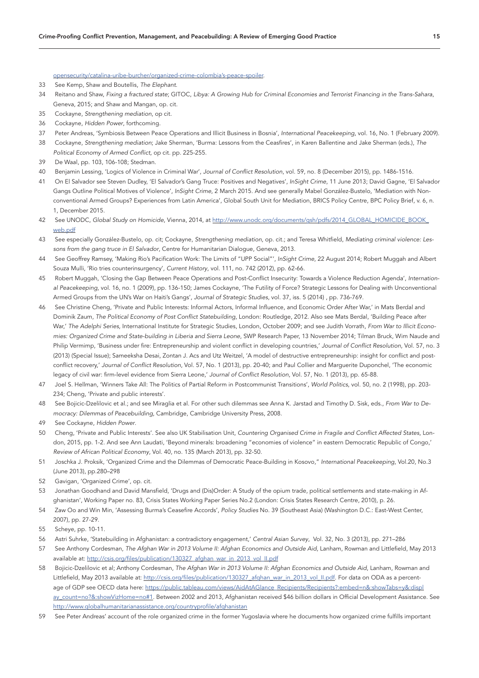### [opensecurity/catalina-uribe-burcher/organized-crime-colombia's-peace-spoiler](https://www.opendemocracy.net/opensecurity/catalina-uribe-burcher/organized-crime-colombia).

- 33 See Kemp, Shaw and Boutellis, *The Elephant*.
- 34 Reitano and Shaw, *Fixing a fractured state*; GITOC, *Libya: A Growing Hub for Criminal Economies and Terrorist Financing in the Trans-Sahara*, Geneva, 2015; and Shaw and Mangan, op. cit.
- 35 Cockayne, *Strengthening mediation*, op cit.
- 36 Cockayne, *Hidden Power*, forthcoming.
- 37 Peter Andreas, 'Symbiosis Between Peace Operations and Illicit Business in Bosnia', *International Peacekeeping*, vol. 16, No. 1 (February 2009).
- 38 Cockayne, *Strengthening mediation*; Jake Sherman, 'Burma: Lessons from the Ceasfires', in Karen Ballentine and Jake Sherman (eds.), *The Political Economy of Armed Conflict,* op cit. pp. 225-255.
- 39 De Waal, pp. 103, 106-108; Stedman.
- 40 Benjamin Lessing, 'Logics of Violence in Criminal War', *Journal of Conflict Resolution*, vol. 59, no. 8 (December 2015), pp. 1486-1516.
- 41 On El Salvador see Steven Dudley, 'El Salvador's Gang Truce: Positives and Negatives', *InSight Crime*, 11 June 2013; David Gagne, 'El Salvador Gangs Outline Political Motives of Violence', *InSight Crime*, 2 March 2015. And see generally Mabel González-Bustelo, 'Mediation with Nonconventional Armed Groups? Experiences from Latin America', Global South Unit for Mediation, BRICS Policy Centre, BPC Policy Brief, v. 6, n. 1, December 2015.
- 42 See UNODC, *Global Study on Homicide*, Vienna, 2014, at [http://www.unodc.org/documents/gsh/pdfs/2014\\_GLOBAL\\_HOMICIDE\\_BOOK\\_](http://www.unodc.org/documents/gsh/pdfs/2014_GLOBAL_HOMICIDE_BOOK_web.pdf) [web.pdf](http://www.unodc.org/documents/gsh/pdfs/2014_GLOBAL_HOMICIDE_BOOK_web.pdf)
- 43 See especially González-Bustelo, op. cit; Cockayne, *Strengthening mediation*, op. cit.; and Teresa Whitfield, *Mediating criminal violence: Lessons from the gang truce in El Salvador*, Centre for Humanitarian Dialogue, Geneva, 2013.
- 44 See Geoffrey Ramsey, 'Making Rio's Pacification Work: The Limits of "UPP Social"', *InSight Crime*, 22 August 2014; Robert Muggah and Albert Souza Mulli, 'Rio tries counterinsurgency', *Current History*, vol. 111, no. 742 (2012), pp. 62-66.
- 45 Robert Muggah, 'Closing the Gap Between Peace Operations and Post-Conflict Insecurity: Towards a Violence Reduction Agenda', *International Peacekeeping*, vol. 16, no. 1 (2009), pp. 136-150; James Cockayne, 'The Futility of Force? Strategic Lessons for Dealing with Unconventional Armed Groups from the UN's War on Haiti's Gangs', *Journal of Strategic Studies*, vol. 37, iss. 5 (2014) , pp. 736-769.
- 46 See Christine Cheng, 'Private and Public Interests: Informal Actors, Informal Influence, and Economic Order After War,' in Mats Berdal and Dominik Zaum, *The Political Economy of Post Conflict Statebuilding*, London: Routledge, 2012. Also see Mats Berdal, 'Building Peace after War,' *The Adelphi Series,* International Institute for Strategic Studies, London, October 2009; and see Judith Vorrath, *From War to Illicit Economies: Organized Crime and State-building in Liberia and Sierra Leone*, SWP Research Paper, 13 November 2014; Tilman Bruck, Wim Naude and Philip Vermimp, 'Business under fire: Entrepreneurship and violent conflict in developing countries,' *Journal of Conflict Resolution*, Vol. 57, no. 3 (2013) (Special Issue); Sameeksha Desai, Zontan J. Acs and Utz Weitzel, 'A model of destructive entrepreneurship: insight for conflict and postconflict recovery,' *Journal of Conflict Resolution*, Vol. 57, No. 1 (2013), pp. 20-40; and Paul Collier and Marguerite Duponchel, 'The economic legacy of civil war: firm-level evidence from Sierra Leone,' *Journal of Conflict Resolution*, Vol. 57, No. 1 (2013), pp. 65-88.
- 47 Joel S. Hellman, 'Winners Take All: The Politics of Partial Reform in Postcommunist Transitions', *World Politics*, vol. 50, no. 2 (1998), pp. 203- 234; Cheng, 'Private and public interests'.
- 48 See Bojicic-Dzelilovic et al.; and see Miraglia et al. For other such dilemmas see Anna K. Jarstad and Timothy D. Sisk, eds., *From War to Democracy: Dilemmas of Peacebuilding*, Cambridge, Cambridge University Press, 2008.
- 49 See Cockayne, *Hidden Power*.
- 50 Cheng, 'Private and Public Interests'. See also UK Stabilisation Unit, *Countering Organised Crime in Fragile and Conflict Affected States*, London, 2015, pp. 1-2. And see Ann Laudati, 'Beyond minerals: broadening "economies of violence" in eastern Democratic Republic of Congo,' *Review of African Political Economy*, Vol. 40, no. 135 (March 2013), pp. 32-50.
- 51 Joschka J. Proksik, 'Organized Crime and the Dilemmas of Democratic Peace-Building in Kosovo," *International Peacekeeping*, Vol.20, No.3 (June 2013), pp.280–298
- 52 Gavigan, 'Organized Crime', op. cit.
- 53 Jonathan Goodhand and David Mansfield, 'Drugs and (Dis)Order: A Study of the opium trade, political settlements and state-making in Afghanistan', Working Paper no. 83, Crisis States Working Paper Series No.2 (London: Crisis States Research Centre, 2010), p. 26.
- 54 Zaw Oo and Win Min, 'Assessing Burma's Ceasefire Accords', *Policy Studies* No. 39 (Southeast Asia) (Washington D.C.: East-West Center, 2007), pp. 27-29.
- 55 Scheye, pp. 10-11.
- 56 Astri Suhrke, 'Statebuilding in Afghanistan: a contradictory engagement,' *Central Asian Survey*, Vol. 32, No. 3 (2013), pp. 271–286
- 57 See Anthony Cordesman, *The Afghan War in 2013 Volume II: Afghan Economics and Outside Aid*, Lanham, Rowman and Littlefield, May 2013 available at: [http://csis.org/files/publication/130327\\_afghan\\_war\\_in\\_2013\\_vol\\_II.pdf](http://csis.org/files/publication/130327_afghan_war_in_2013_vol_II.pdf)
- 58 Bojicic-Dzelilovic et al; Anthony Cordesman, *The Afghan War in 2013 Volume II: Afghan Economics and Outside Aid*, Lanham, Rowman and Littlefield, May 2013 available at: [http://csis.org/files/publication/130327\\_afghan\\_war\\_in\\_2013\\_vol\\_II.pdf](http://csis.org/files/publication/130327_afghan_war_in_2013_vol_II.pdf). For data on ODA as a percentage of GDP see OECD data here: [https://public.tableau.com/views/AidAtAGlance\\_Recipients/Recipients?:embed=n&:showTabs=y&:displ](https://public.tableau.com/views/AidAtAGlance_Recipients/Recipients?:embed=n&:showTabs=y&:display_count=no?&:showVizHome=no#1) [ay\\_count=no?&:showVizHome=no#1](https://public.tableau.com/views/AidAtAGlance_Recipients/Recipients?:embed=n&:showTabs=y&:display_count=no?&:showVizHome=no#1). Between 2002 and 2013, Afghanistan received \$46 billion dollars in Official Development Assistance. See <http://www.globalhumanitarianassistance.org/countryprofile/afghanistan>
- 59 See Peter Andreas' account of the role organized crime in the former Yugoslavia where he documents how organized crime fulfills important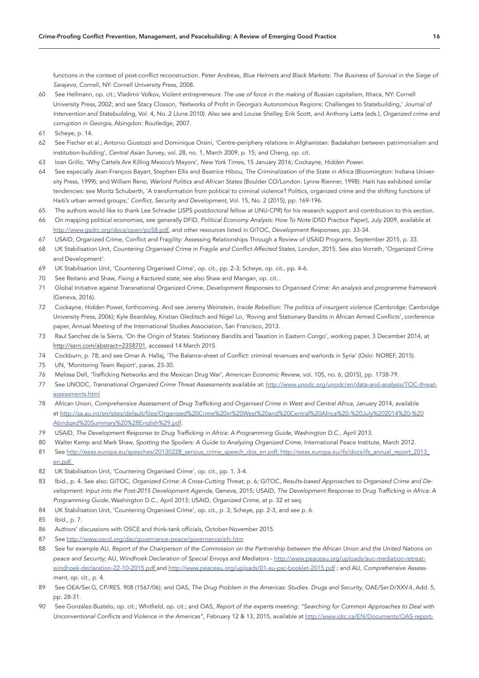functions in the context of post-conflict reconstruction. Peter Andreas, *Blue Helmets and Black Markets: The Business of Survival in the Siege of Sarajevo,* Cornell, NY: Cornell University Press, 2008.

- 60 See Hellmann, op. cit.; Vladimir Volkov, *Violent entrepreneurs: The use of force in the making of Russian capitalism*, Ithaca, NY: Cornell University Press, 2002; and see Stacy Closson, 'Networks of Profit in Georgia's Autonomous Regions: Challenges to Statebuilding,' *Journal of Intervention and Statebuilding*, Vol. 4, No. 2 (June 2010). Also see and Louise Shelley, Erik Scott, and Anthony Latta (eds.), *Organized crime and corruption in Georgia*, Abingdon: Routledge, 2007.
- 61 Scheye, p. 14.
- 62 See Fischer et al.; Antonio Giustozzi and Dominique Orsini, 'Centre-periphery relations in Afghanistan: Badakshan between patrimonialism and institution-building', *Central Asian Survey*, vol. 28, no. 1, March 2009, p. 15; and Cheng, op. cit.
- 63 Ioan Grillo, 'Why Cartels Are Killing Mexico's Mayors', *New York Times*, 15 January 2016; Cockayne, *Hidden Power*.
- 64 See especially Jean-François Bayart, Stephen Ellis and Beatrice Hibou, *The Criminalization of the State in Africa* (Bloomington: Indiana University Press, 1999); and William Reno, *Warlord Politics and African States* (Boulder CO/London: Lynne Rienner, 1998). Haiti has exhibited similar tendencies: see Moritz Schuberth, 'A transformation from political to criminal violence? Politics, organized crime and the shifting functions of Haiti's urban armed groups,' *Conflict, Security and Development*, Vol. 15, No. 2 (2015), pp. 169-196.
- 65 The authors would like to thank Lee Schrader (JSPS postdoctoral fellow at UNU-CPR) for his research support and contribution to this section.
- 66 On mapping political economies, see generally DFID, *Political Economy Analysis: How To Note* (DfiD Practice Paper), July 2009, available at [http://www.gsdrc.org/docs/open/po58.pdf,](http://www.gsdrc.org/docs/open/po58.pdf) and other resources listed in GITOC, *Development Responses*, pp. 33-34.
- 67 USAID, Organized Crime, Conflict and Fragility: Assessing Relationships Through a Review of USAID Programs, September 2015, p. 33.
- 68 UK Stabilisation Unit, *Countering Organised Crime in Fragile and Conflict Affected States*, London, 2015. See also Vorrath, 'Organized Crime and Development'.
- 69 UK Stabilisation Unit, 'Countering Organised Crime', op. cit., pp. 2-3; Scheye, op. cit., pp. 4-6.
- 70 See Reitano and Shaw, *Fixing a fractured state*; see also Shaw and Mangan, op. cit..
- 71 Global Initiative against Transnational Organized Crime, *Development Responses to Organised Crime: An analysis and programme framework* (Geneva, 2016).
- 72 Cockayne, *Hidden* Power, forthcoming. And see Jeremy Weinstein, *Inside Rebellion: The politics of insurgent violence* (Cambridge: Cambridge University Press, 2006); Kyle Beardsley, Kristian Gleditsch and Nigel Lo, 'Roving and Stationary Bandits in African Armed Conflicts', conference paper, Annual Meeting of the International Studies Association, San Francisco, 2013.
- 73 Raul Sanchez de la Sierra, 'On the Origin of States: Stationary Bandits and Taxation in Eastern Congo', working paper, 3 December 2014, at [http://ssrn.com/abstract=2358701,](http://ssrn.com/abstract=2358701) accessed 14 March 2015.
- 74 Cockburn, p. 78; and see Omar A. Hallaj, 'The Balance-sheet of Conflict: criminal revenues and warlords in Syria' (Oslo: NOREF, 2015).
- 75 UN, 'Monitoring Team Report', paras. 23-30.
- 76 Melissa Dell, 'Trafficking Networks and the Mexican Drug War', *American Economic Review*, vol. 105, no. 6, (2015), pp. 1738-79.
- 77 See UNODC, *Transnational Organized Crime Threat Assessments* available at: [http://www.unodc.org/unodc/en/data-and-analysis/TOC-threat](http://www.unodc.org/unodc/en/data-and-analysis/TOC-threat-assessments.html)[assessments.html](http://www.unodc.org/unodc/en/data-and-analysis/TOC-threat-assessments.html)
- 78 African Union, *Comprehensive Assessment of Drug Trafficking and Organised Crime in West and Central Africa*, January 2014, available at [http://sa.au.int/en/sites/default/files/Organized%20Crime%20in%20West%20and%20Central%20Africa%20-%20July%202014%20-%20](http://sa.au.int/en/sites/default/files/Organized Crime%20in West and Central Africa - July 2014 - Abridged Summary %28English%29.pdf) [Abridged%20Summary%20%28English%29.pdf](http://sa.au.int/en/sites/default/files/Organized Crime%20in West and Central Africa - July 2014 - Abridged Summary %28English%29.pdf).
- 79 USAID, *The Development Response to Drug Trafficking in Africa: A Programming Guide*, Washington D.C., April 2013.
- 80 Walter Kemp and Mark Shaw, *Spotting the Spoilers: A Guide to Analyzing Organized Crime*, International Peace Institute, March 2012.
- 81 See http://eeas.europa.eu/speeches/20130228 serious crime speech dos en.pdf; http://eeas.europa.eu/ifs/docs/ifs annual report 2013 [en.pdf.](http://eeas.europa.eu/ifs/docs/ifs_annual_report_2013_en.pdf)
- 82 UK Stabilisation Unit, 'Countering Organised Crime', op. cit., pp. 1, 3-4.
- 83 Ibid., p. 4. See also: GITOC, *Organized Crime: A Cross-Cutting Threat*, p. 6; GITOC, *Results-based Approaches to Organized Crime and Development: Input into the Post-2015 Development Agenda*, Geneva, 2015; USAID, *The Development Response to Drug Trafficking in Africa: A Programming Guide*, Washington D.C., April 2013; USAID, *Organized Crime*, at p. 32 et seq.
- 84 UK Stabilisation Unit, 'Countering Organised Crime', op. cit., p. 3; Scheye, pp. 2-3, and see p. 6.
- 85 Ibid. p. 7.
- 86 Authors' discussions with OSCE and think-tank officials, October-November 2015.
- 87 See <http://www.oecd.org/dac/governance-peace/governance/efc.htm>
- 88 See for example AU, *Report of the Chairperson of the Commission on the Partnership between the African Union and the United Nations on peace and Security*; AU, *Windhoek Declaration of Special Envoys and Mediators* - [http://www.peaceau.org/uploads/auc-mediation-retreat](http://www.peaceau.org/uploads/auc-mediation-retreat-windhoek-declaration-22-10-2015.pdf)[windhoek-declaration-22-10-2015.pdf](http://www.peaceau.org/uploads/auc-mediation-retreat-windhoek-declaration-22-10-2015.pdf) and <http://www.peaceau.org/uploads/01-au-psc-booklet-2015.pdf> ; and AU, *Comprehensive Assessment*, op. cit., p. 4.
- 89 See OEA/Ser.G, CP/RES. 908 (1567/06); and OAS, *The Drug Problem in the Americas: Studies*. *Drugs and Security*, OAE/Ser.D/XXV.4, Add. 5, pp. 28-31.
- 90 See González-Bustelo, op. cit.; Whitfield, op. cit.; and OAS, *Report of the experts meeting: "Searching for Common Approaches to Deal with Unconventional Conflicts and Violence in the Americas"*, February 12 & 13, 2015, available at [http://www.idrc.ca/EN/Documents/OAS-report-](http://www.idrc.ca/EN/Documents/OAS-report-experts-meeting-unconventional-conflicts-Americas.pdf)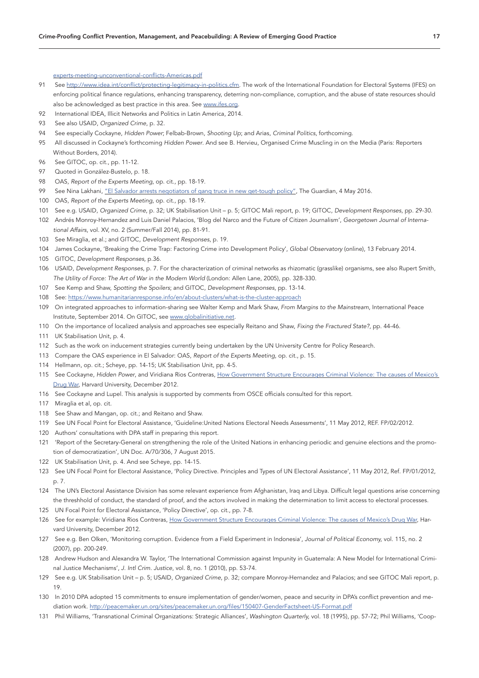[experts-meeting-unconventional-conflicts-Americas.pdf](http://www.idrc.ca/EN/Documents/OAS-report-experts-meeting-unconventional-conflicts-Americas.pdf)

- 91 See <http://www.idea.int/conflict/protecting-legitimacy-in-politics.cfm>. The work of the International Foundation for Electoral Systems (IFES) on enforcing political finance regulations, enhancing transparency, deterring non-compliance, corruption, and the abuse of state resources should also be acknowledged as best practice in this area. See [www.ifes.org.](http://www.ifes.org)
- 92 International IDEA, Illicit Networks and Politics in Latin America, 2014.
- 93 See also USAID, *Organized Crime*, p. 32.
- 94 See especially Cockayne, *Hidden Power*; Felbab-Brown, *Shooting Up*; and Arias, *Criminal Politics*, forthcoming.
- 95 All discussed in Cockayne's forthcoming *Hidden Power*. And see B. Hervieu, Organised Crime Muscling in on the Media (Paris: Reporters Without Borders, 2014).
- 96 See GITOC, op. cit., pp. 11-12.
- 97 Quoted in González-Bustelo, p. 18.
- 98 OAS, *Report of the Experts Meeting*, op. cit., pp. 18-19.
- 99 See Nina Lakhani, ["El Salvador arrests negotiators of gang truce in new get-tough policy",](http://www.theguardian.com/world/2016/may/04/el-salvador-arrests-negotiators-gang-truce) The Guardian, 4 May 2016.
- 100 OAS, *Report of the Experts Meeting*, op. cit., pp. 18-19.
- 101 See e.g. USAID, *Organized Crime*, p. 32; UK Stabilisation Unit p. 5; GITOC Mali report, p. 19; GITOC, *Development Responses*, pp. 29-30.
- 102 Andrés Monroy-Hernandez and Luis Daniel Palacios, 'Blog del Narco and the Future of Citizen Journalism', *Georgetown Journal of International Affairs*, vol. XV, no. 2 (Summer/Fall 2014), pp. 81-91.
- 103 See Miraglia, et al.; and GITOC, *Development Responses*, p. 19.
- 104 James Cockayne, 'Breaking the Crime Trap: Factoring Crime into Development Policy', *Global Observatory* (online), 13 February 2014.
- 105 GITOC, *Development Responses,* p.36.
- 106 USAID, *Development Responses*, p. 7. For the characterization of criminal networks as rhizomatic (grasslike) organisms, see also Rupert Smith, *The Utility of Force: The Art of War in the Modern World* (London: Allen Lane, 2005), pp. 328-330.
- 107 See Kemp and Shaw, *Spotting the Spoilers*; and GITOC, *Development Responses*, pp. 13-14.
- 108 See: <https://www.humanitarianresponse.info/en/about-clusters/what-is-the-cluster-approach>
- 109 On integrated approaches to information-sharing see Walter Kemp and Mark Shaw, *From Margins to the Mainstream*, International Peace Institute, September 2014. On GITOC, see [www.globalinitiative.net](http://www.globalinitiative.net).
- 110 On the importance of localized analysis and approaches see especially Reitano and Shaw, *Fixing the Fractured State?*, pp. 44-46.
- 111 UK Stabilisation Unit, p. 4.
- 112 Such as the work on inducement strategies currently being undertaken by the UN University Centre for Policy Research.
- 113 Compare the OAS experience in El Salvador: OAS, *Report of the Experts Meeting*, op. cit., p. 15.
- 114 Hellmann, op. cit.; Scheye, pp. 14-15; UK Stabilisation Unit, pp. 4-5.
- 115 See Cockayne, *Hidden Power*, and Viridiana Rios Contreras, [How Government Structure Encourages Criminal Violence: The causes of Mexico's](http://www.gov.harvard.edu/files/Rios_PhDDissertation.pdf)  [Drug War,](http://www.gov.harvard.edu/files/Rios_PhDDissertation.pdf) Harvard University, December 2012.
- 116 See Cockayne and Lupel. This analysis is supported by comments from OSCE officials consulted for this report.
- 117 Miraglia et al, op. cit.
- 118 See Shaw and Mangan, op. cit.; and Reitano and Shaw.
- 119 See UN Focal Point for Electoral Assistance, 'Guideline:United Nations Electoral Needs Assessments', 11 May 2012, REF. FP/02/2012.
- 120 Authors' consultations with DPA staff in preparing this report.
- 121 'Report of the Secretary-General on strengthening the role of the United Nations in enhancing periodic and genuine elections and the promotion of democratization', UN Doc. A/70/306, 7 August 2015.
- 122 UK Stabilisation Unit, p. 4. And see Scheye, pp. 14-15.
- 123 See UN Focal Point for Electoral Assistance, 'Policy Directive. Principles and Types of UN Electoral Assistance', 11 May 2012, Ref. FP/01/2012, p. 7.
- 124 The UN's Electoral Assistance Division has some relevant experience from Afghanistan, Iraq and Libya. Difficult legal questions arise concerning the threshhold of conduct, the standard of proof, and the actors involved in making the determination to limit access to electoral processes.
- 125 UN Focal Point for Electoral Assistance, 'Policy Directive', op. cit., pp. 7-8.
- 126 See for example: Viridiana Rios Contreras, [How Government Structure Encourages Criminal Violence: The causes of Mexico's Drug War](http://www.gov.harvard.edu/files/Rios_PhDDissertation.pdf), Harvard University, December 2012.
- 127 See e.g. Ben Olken, 'Monitoring corruption. Evidence from a Field Experiment in Indonesia', *Journal of Political Economy,* vol. 115, no. 2 (2007), pp. 200-249.
- 128 Andrew Hudson and Alexandra W. Taylor, 'The International Commission against Impunity in Guatemala: A New Model for International Criminal Justice Mechanisms', *J. Intl Crim. Justice*, vol. 8, no. 1 (2010), pp. 53-74.
- 129 See e.g. UK Stabilisation Unit p. 5; USAID, *Organized Crime*, p. 32; compare Monroy-Hernandez and Palacios; and see GITOC Mali report, p. 19.
- 130 In 2010 DPA adopted 15 commitments to ensure implementation of gender/women, peace and security in DPA's conflict prevention and mediation work. <http://peacemaker.un.org/sites/peacemaker.un.org/files/150407-GenderFactsheet-US-Format.pdf>
- 131 Phil Williams, 'Transnational Criminal Organizations: Strategic Alliances', *Washington Quarterly,* vol. 18 (1995), pp. 57-72; Phil Williams, 'Coop-